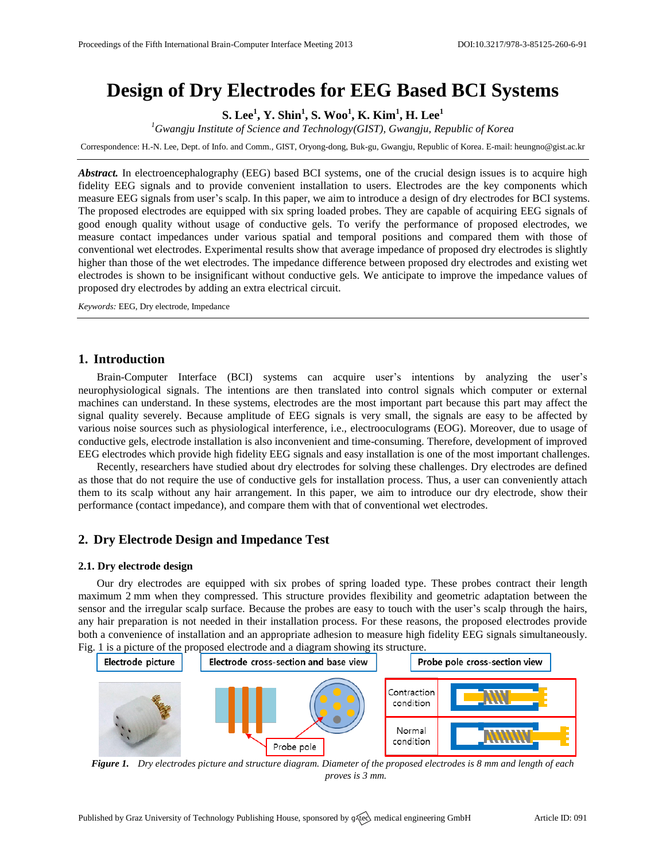# **Design of Dry Electrodes for EEG Based BCI Systems**

**S. Lee<sup>1</sup> , Y. Shin<sup>1</sup> , S. Woo<sup>1</sup> , K. Kim<sup>1</sup> , H. Lee<sup>1</sup>**

*<sup>1</sup>Gwangju Institute of Science and Technology(GIST), Gwangju, Republic of Korea*

Correspondence: H.-N. Lee, Dept. of Info. and Comm., GIST, Oryong-dong, Buk-gu, Gwangju, Republic of Korea. E-mail[: heungno@gist.ac.kr](mailto:heungno@gist.ac.kr)

*Abstract.* In electroencephalography (EEG) based BCI systems, one of the crucial design issues is to acquire high fidelity EEG signals and to provide convenient installation to users. Electrodes are the key components which measure EEG signals from user's scalp. In this paper, we aim to introduce a design of dry electrodes for BCI systems. The proposed electrodes are equipped with six spring loaded probes. They are capable of acquiring EEG signals of good enough quality without usage of conductive gels. To verify the performance of proposed electrodes, we measure contact impedances under various spatial and temporal positions and compared them with those of conventional wet electrodes. Experimental results show that average impedance of proposed dry electrodes is slightly higher than those of the wet electrodes. The impedance difference between proposed dry electrodes and existing wet electrodes is shown to be insignificant without conductive gels. We anticipate to improve the impedance values of proposed dry electrodes by adding an extra electrical circuit.

*Keywords:* EEG, Dry electrode, Impedance

# **1. Introduction**

Brain-Computer Interface (BCI) systems can acquire user's intentions by analyzing the user's neurophysiological signals. The intentions are then translated into control signals which computer or external machines can understand. In these systems, electrodes are the most important part because this part may affect the signal quality severely. Because amplitude of EEG signals is very small, the signals are easy to be affected by various noise sources such as physiological interference, i.e., electrooculograms (EOG). Moreover, due to usage of conductive gels, electrode installation is also inconvenient and time-consuming. Therefore, development of improved EEG electrodes which provide high fidelity EEG signals and easy installation is one of the most important challenges.

Recently, researchers have studied about dry electrodes for solving these challenges. Dry electrodes are defined as those that do not require the use of conductive gels for installation process. Thus, a user can conveniently attach them to its scalp without any hair arrangement. In this paper, we aim to introduce our dry electrode, show their performance (contact impedance), and compare them with that of conventional wet electrodes.

# **2. Dry Electrode Design and Impedance Test**

## **2.1. Dry electrode design**

Our dry electrodes are equipped with six probes of spring loaded type. These probes contract their length maximum 2 mm when they compressed. This structure provides flexibility and geometric adaptation between the sensor and the irregular scalp surface. Because the probes are easy to touch with the user's scalp through the hairs, any hair preparation is not needed in their installation process. For these reasons, the proposed electrodes provide both a convenience of installation and an appropriate adhesion to measure high fidelity EEG signals simultaneously. Fig. 1 is a picture of the proposed electrode and a diagram showing its structure.



*Figure 1. Dry electrodes picture and structure diagram. Diameter of the proposed electrodes is 8 mm and length of each proves is 3 mm.*